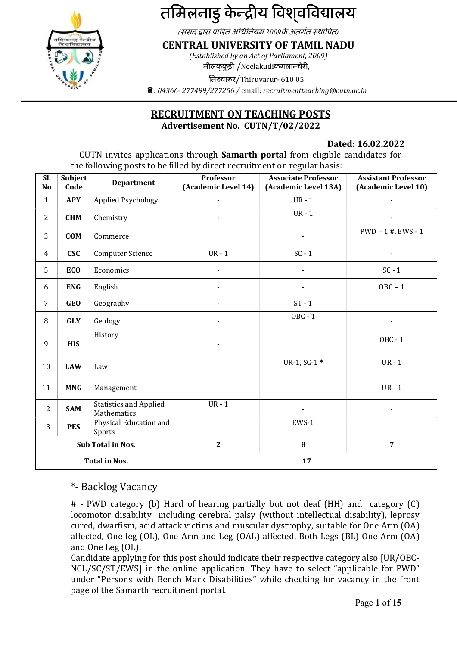

# तमिलनाडु केन्द्रीय विश्**वविद्यालय**

(संसद द्वारा पारित अधिनियम 2009के अंतर्गत स्थापित)

CENTRAL UNIVERSITY OF TAMIL NADU

(Established by an Act of Parliament, 2009) नीलककुड़ी /Neelakudiकंगलान्चेरी,

तिरुवारूर/Thiruvarur- 610 05

 $\hat{a}$ : 04366-277499/277256 / email: recruitmentteaching@cutn.ac.in

# RECRUITMENT ON TEACHING POSTS Advertisement No. CUTN/T/02/2022

# Dated: 16.02.2022

 CUTN invites applications through Samarth portal from eligible candidates for the following posts to be filled by direct recruitment on regular basis:

| SI.<br>No            | Subject<br>Code | <b>Department</b>                            | Professor<br>(Academic Level 14) | <b>Associate Professor</b><br>(Academic Level 13A) | <b>Assistant Professor</b><br>(Academic Level 10) |  |
|----------------------|-----------------|----------------------------------------------|----------------------------------|----------------------------------------------------|---------------------------------------------------|--|
| $\mathbf{1}$         | <b>APY</b>      | Applied Psychology                           | $\sim$                           | $UR - 1$                                           |                                                   |  |
| $\overline{2}$       | <b>CHM</b>      | Chemistry                                    |                                  | $UR - 1$                                           | $\blacksquare$                                    |  |
| 3                    | <b>COM</b>      | Commerce                                     |                                  | $\blacksquare$                                     | $PWD - 1$ #, $EWS - 1$                            |  |
| $\overline{4}$       | <b>CSC</b>      | Computer Science                             | $UR - 1$                         | $SC - 1$                                           | $\sim$                                            |  |
| 5                    | <b>ECO</b>      | Economics                                    |                                  |                                                    | $SC - 1$                                          |  |
| 6                    | <b>ENG</b>      | English                                      |                                  |                                                    | $OBC - 1$                                         |  |
| $\overline{7}$       | <b>GEO</b>      | Geography                                    |                                  | $ST - 1$                                           |                                                   |  |
| 8                    | <b>GLY</b>      | Geology                                      |                                  | $OBC - 1$                                          | $\blacksquare$                                    |  |
| 9                    | <b>HIS</b>      | History                                      |                                  |                                                    | OBC - 1                                           |  |
| 10                   | <b>LAW</b>      | Law                                          |                                  | $UR-1, SC-1*$                                      | $UR - 1$                                          |  |
| 11                   | <b>MNG</b>      | Management                                   |                                  |                                                    | $UR - 1$                                          |  |
| 12                   | <b>SAM</b>      | <b>Statistics and Applied</b><br>Mathematics | $UR - 1$                         |                                                    | $\blacksquare$                                    |  |
| 13                   | <b>PES</b>      | Physical Education and<br>Sports             |                                  | EWS-1                                              |                                                   |  |
|                      |                 | Sub Total in Nos.                            | $\mathbf{2}$                     | 8                                                  | $\overline{7}$                                    |  |
| <b>Total in Nos.</b> |                 |                                              | 17                               |                                                    |                                                   |  |

\*- Backlog Vacancy

Candidate applying for this post should indicate their respective category also [UR/OBC-NCL/SC/ST/EWS] in the online application. They have to select "applicable for PWD" under "Persons with Bench Mark Disabilities" while checking for vacancy in the front page of the Samarth recruitment portal.

<sup>#</sup> - PWD category (b) Hard of hearing partially but not deaf (HH) and category (C) locomotor disability including cerebral palsy (without intellectual disability), leprosy cured, dwarfism, acid attack victims and muscular dystrophy, suitable for One Arm (OA) affected, One leg (OL), One Arm and Leg (OAL) affected, Both Legs (BL) One Arm (OA) and One Leg (OL).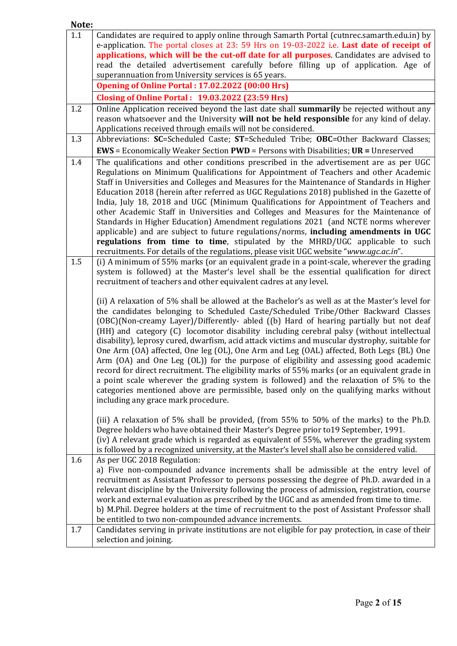| Note: |                                                                                                                                                                                                                                                                                                                                                                                                                                                                                                                                                                                                                                                                                                                                                                                                                                                                                                                                                                                                                                                                                                                                                                                                                                                                                                                                                                                                                                                                                                                                                                                                                                              |
|-------|----------------------------------------------------------------------------------------------------------------------------------------------------------------------------------------------------------------------------------------------------------------------------------------------------------------------------------------------------------------------------------------------------------------------------------------------------------------------------------------------------------------------------------------------------------------------------------------------------------------------------------------------------------------------------------------------------------------------------------------------------------------------------------------------------------------------------------------------------------------------------------------------------------------------------------------------------------------------------------------------------------------------------------------------------------------------------------------------------------------------------------------------------------------------------------------------------------------------------------------------------------------------------------------------------------------------------------------------------------------------------------------------------------------------------------------------------------------------------------------------------------------------------------------------------------------------------------------------------------------------------------------------|
| 1.1   | Candidates are required to apply online through Samarth Portal (cutnrec.samarth.edu.in) by<br>e-application. The portal closes at 23: 59 Hrs on 19-03-2022 i.e. Last date of receipt of<br>applications, which will be the cut-off date for all purposes. Candidates are advised to<br>read the detailed advertisement carefully before filling up of application. Age of<br>superannuation from University services is 65 years.<br><b>Opening of Online Portal: 17.02.2022 (00:00 Hrs)</b><br><b>Closing of Online Portal: 19.03.2022 (23:59 Hrs)</b>                                                                                                                                                                                                                                                                                                                                                                                                                                                                                                                                                                                                                                                                                                                                                                                                                                                                                                                                                                                                                                                                                      |
| 1.2   | Online Application received beyond the last date shall summarily be rejected without any                                                                                                                                                                                                                                                                                                                                                                                                                                                                                                                                                                                                                                                                                                                                                                                                                                                                                                                                                                                                                                                                                                                                                                                                                                                                                                                                                                                                                                                                                                                                                     |
|       | reason whatsoever and the University will not be held responsible for any kind of delay.<br>Applications received through emails will not be considered.                                                                                                                                                                                                                                                                                                                                                                                                                                                                                                                                                                                                                                                                                                                                                                                                                                                                                                                                                                                                                                                                                                                                                                                                                                                                                                                                                                                                                                                                                     |
| 1.3   | Abbreviations: SC=Scheduled Caste; ST=Scheduled Tribe; OBC=Other Backward Classes;                                                                                                                                                                                                                                                                                                                                                                                                                                                                                                                                                                                                                                                                                                                                                                                                                                                                                                                                                                                                                                                                                                                                                                                                                                                                                                                                                                                                                                                                                                                                                           |
|       | <b>EWS</b> = Economically Weaker Section <b>PWD</b> = Persons with Disabilities; UR = Unreserved                                                                                                                                                                                                                                                                                                                                                                                                                                                                                                                                                                                                                                                                                                                                                                                                                                                                                                                                                                                                                                                                                                                                                                                                                                                                                                                                                                                                                                                                                                                                             |
| 1.4   | The qualifications and other conditions prescribed in the advertisement are as per UGC<br>Regulations on Minimum Qualifications for Appointment of Teachers and other Academic<br>Staff in Universities and Colleges and Measures for the Maintenance of Standards in Higher<br>Education 2018 (herein after referred as UGC Regulations 2018) published in the Gazette of<br>India, July 18, 2018 and UGC (Minimum Qualifications for Appointment of Teachers and<br>other Academic Staff in Universities and Colleges and Measures for the Maintenance of<br>Standards in Higher Education) Amendment regulations 2021 (and NCTE norms wherever<br>applicable) and are subject to future regulations/norms, including amendments in UGC<br>regulations from time to time, stipulated by the MHRD/UGC applicable to such<br>recruitments. For details of the regulations, please visit UGC website "www.ugc.ac.in".                                                                                                                                                                                                                                                                                                                                                                                                                                                                                                                                                                                                                                                                                                                         |
| 1.5   | (i) A minimum of 55% marks (or an equivalent grade in a point-scale, wherever the grading<br>system is followed) at the Master's level shall be the essential qualification for direct<br>recruitment of teachers and other equivalent cadres at any level.<br>(ii) A relaxation of 5% shall be allowed at the Bachelor's as well as at the Master's level for<br>the candidates belonging to Scheduled Caste/Scheduled Tribe/Other Backward Classes<br>(OBC)(Non-creamy Layer)/Differently- abled ((b) Hard of hearing partially but not deaf<br>(HH) and category (C) locomotor disability including cerebral palsy (without intellectual<br>disability), leprosy cured, dwarfism, acid attack victims and muscular dystrophy, suitable for<br>One Arm (OA) affected, One leg (OL), One Arm and Leg (OAL) affected, Both Legs (BL) One<br>Arm (OA) and One Leg (OL)) for the purpose of eligibility and assessing good academic<br>record for direct recruitment. The eligibility marks of 55% marks (or an equivalent grade in<br>a point scale wherever the grading system is followed) and the relaxation of 5% to the<br>categories mentioned above are permissible, based only on the qualifying marks without<br>including any grace mark procedure.<br>(iii) A relaxation of 5% shall be provided, (from 55% to 50% of the marks) to the Ph.D.<br>Degree holders who have obtained their Master's Degree prior to 19 September, 1991.<br>(iv) A relevant grade which is regarded as equivalent of 55%, wherever the grading system<br>is followed by a recognized university, at the Master's level shall also be considered valid. |
| 1.6   | As per UGC 2018 Regulation:                                                                                                                                                                                                                                                                                                                                                                                                                                                                                                                                                                                                                                                                                                                                                                                                                                                                                                                                                                                                                                                                                                                                                                                                                                                                                                                                                                                                                                                                                                                                                                                                                  |
|       | a) Five non-compounded advance increments shall be admissible at the entry level of<br>recruitment as Assistant Professor to persons possessing the degree of Ph.D. awarded in a<br>relevant discipline by the University following the process of admission, registration, course<br>work and external evaluation as prescribed by the UGC and as amended from time to time.<br>b) M.Phil. Degree holders at the time of recruitment to the post of Assistant Professor shall<br>be entitled to two non-compounded advance increments.                                                                                                                                                                                                                                                                                                                                                                                                                                                                                                                                                                                                                                                                                                                                                                                                                                                                                                                                                                                                                                                                                                      |
| 1.7   | Candidates serving in private institutions are not eligible for pay protection, in case of their                                                                                                                                                                                                                                                                                                                                                                                                                                                                                                                                                                                                                                                                                                                                                                                                                                                                                                                                                                                                                                                                                                                                                                                                                                                                                                                                                                                                                                                                                                                                             |
|       | selection and joining.                                                                                                                                                                                                                                                                                                                                                                                                                                                                                                                                                                                                                                                                                                                                                                                                                                                                                                                                                                                                                                                                                                                                                                                                                                                                                                                                                                                                                                                                                                                                                                                                                       |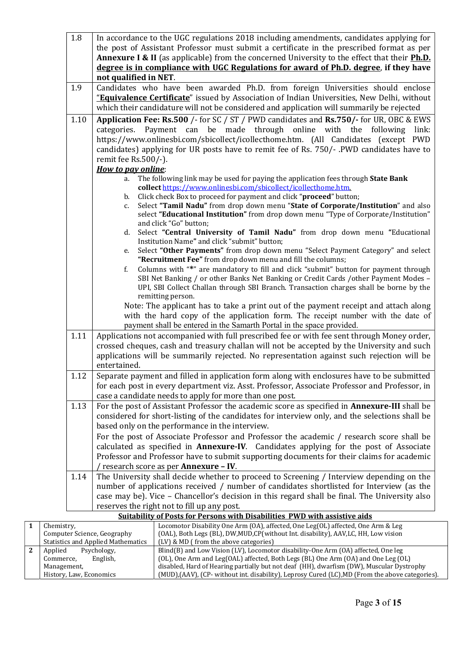| $1.8\,$ | In accordance to the UGC regulations 2018 including amendments, candidates applying for                                                                   |
|---------|-----------------------------------------------------------------------------------------------------------------------------------------------------------|
|         | the post of Assistant Professor must submit a certificate in the prescribed format as per                                                                 |
|         | Annexure I & II (as applicable) from the concerned University to the effect that their <b>Ph.D.</b>                                                       |
|         | degree is in compliance with UGC Regulations for award of Ph.D. degree, if they have                                                                      |
|         | not qualified in NET.                                                                                                                                     |
| 1.9     | Candidates who have been awarded Ph.D. from foreign Universities should enclose                                                                           |
|         | "Equivalence Certificate" issued by Association of Indian Universities, New Delhi, without                                                                |
|         | which their candidature will not be considered and application will summarily be rejected                                                                 |
| 1.10    | Application Fee: Rs.500 /- for SC / ST / PWD candidates and Rs.750/- for UR, OBC & EWS                                                                    |
|         | categories. Payment can be made through online with the following<br>link:                                                                                |
|         | https://www.onlinesbi.com/sbicollect/icollecthome.htm. (All Candidates (except PWD                                                                        |
|         | candidates) applying for UR posts have to remit fee of Rs. 750/- .PWD candidates have to                                                                  |
|         | remit fee Rs.500/-).                                                                                                                                      |
|         | How to pay online:                                                                                                                                        |
|         | The following link may be used for paying the application fees through State Bank<br>a.                                                                   |
|         | collect https://www.onlinesbi.com/sbicollect/icollecthome.htm.<br>Click check Box to proceed for payment and click "proceed" button;                      |
|         | b.<br>Select "Tamil Nadu" from drop down menu "State of Corporate/Institution" and also<br>c.                                                             |
|         | select "Educational Institution" from drop down menu "Type of Corporate/Institution"                                                                      |
|         | and click "Go" button;                                                                                                                                    |
|         | Select "Central University of Tamil Nadu" from drop down menu "Educational<br>d.                                                                          |
|         | Institution Name" and click "submit" button;                                                                                                              |
|         | Select "Other Payments" from drop down menu "Select Payment Category" and select<br>е.                                                                    |
|         | "Recruitment Fee" from drop down menu and fill the columns;<br>Columns with "*" are mandatory to fill and click "submit" button for payment through<br>f. |
|         | SBI Net Banking / or other Banks Net Banking or Credit Cards / other Payment Modes -                                                                      |
|         | UPI, SBI Collect Challan through SBI Branch. Transaction charges shall be borne by the                                                                    |
|         | remitting person.                                                                                                                                         |
|         | Note: The applicant has to take a print out of the payment receipt and attach along                                                                       |
|         | with the hard copy of the application form. The receipt number with the date of                                                                           |
|         | payment shall be entered in the Samarth Portal in the space provided.                                                                                     |
| 1.11    | Applications not accompanied with full prescribed fee or with fee sent through Money order,                                                               |
|         | crossed cheques, cash and treasury challan will not be accepted by the University and such                                                                |
|         | applications will be summarily rejected. No representation against such rejection will be                                                                 |
|         | entertained.                                                                                                                                              |
| 1.12    | Separate payment and filled in application form along with enclosures have to be submitted                                                                |
|         | for each post in every department viz. Asst. Professor, Associate Professor and Professor, in                                                             |
|         | case a candidate needs to apply for more than one post.                                                                                                   |
| 1.13    | For the post of Assistant Professor the academic score as specified in Annexure-III shall be                                                              |
|         | considered for short-listing of the candidates for interview only, and the selections shall be                                                            |
|         | based only on the performance in the interview.                                                                                                           |
|         | For the post of Associate Professor and Professor the academic / research score shall be                                                                  |
|         | calculated as specified in <b>Annexure-IV</b> . Candidates applying for the post of Associate                                                             |
|         | Professor and Professor have to submit supporting documents for their claims for academic                                                                 |
| 1.14    | research score as per Annexure - IV.<br>The University shall decide whether to proceed to Screening / Interview depending on the                          |
|         | number of applications received / number of candidates shortlisted for Interview (as the                                                                  |
|         | case may be). Vice - Chancellor's decision in this regard shall be final. The University also                                                             |
|         | reserves the right not to fill up any post.                                                                                                               |
|         | <b>Suitability of Posts for Persons with Disabilities PWD with assistive aids</b>                                                                         |
| stry,   | Locomotor Disability One Arm (OA), affected, One Leg(OL) affected, One Arm & Leg                                                                          |
|         |                                                                                                                                                           |

| Chemistry,                                | Locomotor Disability One Arm (OA), affected, One Leg(OL) affected, One Arm & Leg               |  |  |
|-------------------------------------------|------------------------------------------------------------------------------------------------|--|--|
| Computer Science, Geography               | (OAL), Both Legs (BL), DW, MUD, CP (without Int. disability), AAV, LC, HH, Low vision          |  |  |
| <b>Statistics and Applied Mathematics</b> | $(LV)$ & MD (from the above categories)                                                        |  |  |
| Psychology,<br>Applied                    | Blind(B) and Low Vision (LV), Locomotor disability-One Arm (OA) affected, One leg              |  |  |
| English,<br>Commerce,                     | (OL), One Arm and Leg(OAL) affected, Both Legs (BL) One Arm (OA) and One Leg (OL)              |  |  |
| Management,                               | disabled, Hard of Hearing partially but not deaf (HH), dwarfism (DW), Muscular Dystrophy       |  |  |
| History, Law, Economics                   | (MUD),(AAV), (CP- without int. disability), Leprosy Cured (LC),MD (From the above categories). |  |  |

.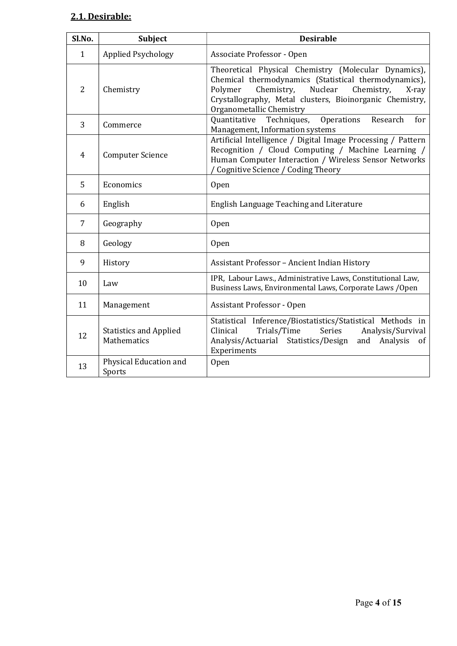# 2.1. Desirable:

| Sl.No.         | Subject                                      | <b>Desirable</b>                                                                                                                                                                                                                                                 |
|----------------|----------------------------------------------|------------------------------------------------------------------------------------------------------------------------------------------------------------------------------------------------------------------------------------------------------------------|
| $\mathbf{1}$   | <b>Applied Psychology</b>                    | Associate Professor - Open                                                                                                                                                                                                                                       |
| $\overline{2}$ | Chemistry                                    | Theoretical Physical Chemistry (Molecular Dynamics),<br>Chemical thermodynamics (Statistical thermodynamics),<br>Nuclear<br>Polymer<br>Chemistry,<br>Chemistry,<br>X-ray<br>Crystallography, Metal clusters, Bioinorganic Chemistry,<br>Organometallic Chemistry |
| 3              | Commerce                                     | Operations<br>Quantitative<br>Techniques,<br>Research<br>for<br>Management, Information systems                                                                                                                                                                  |
| $\overline{4}$ | <b>Computer Science</b>                      | Artificial Intelligence / Digital Image Processing / Pattern<br>Recognition / Cloud Computing / Machine Learning /<br>Human Computer Interaction / Wireless Sensor Networks<br>Cognitive Science / Coding Theory                                                 |
| 5              | Economics                                    | <b>Open</b>                                                                                                                                                                                                                                                      |
| 6              | English                                      | English Language Teaching and Literature                                                                                                                                                                                                                         |
| 7              | Geography                                    | Open                                                                                                                                                                                                                                                             |
| 8              | Geology                                      | <b>Open</b>                                                                                                                                                                                                                                                      |
| 9              | History                                      | Assistant Professor - Ancient Indian History                                                                                                                                                                                                                     |
| 10             | Law                                          | IPR, Labour Laws., Administrative Laws, Constitutional Law,<br>Business Laws, Environmental Laws, Corporate Laws / Open                                                                                                                                          |
| 11             | Management                                   | <b>Assistant Professor - Open</b>                                                                                                                                                                                                                                |
| 12             | <b>Statistics and Applied</b><br>Mathematics | Statistical Inference/Biostatistics/Statistical Methods in<br>Clinical<br>Trials/Time<br>Series<br>Analysis/Survival<br>Analysis/Actuarial Statistics/Design<br>Analysis<br>and<br><sub>of</sub><br>Experiments                                                  |
| 13             | Physical Education and<br>Sports             | Open                                                                                                                                                                                                                                                             |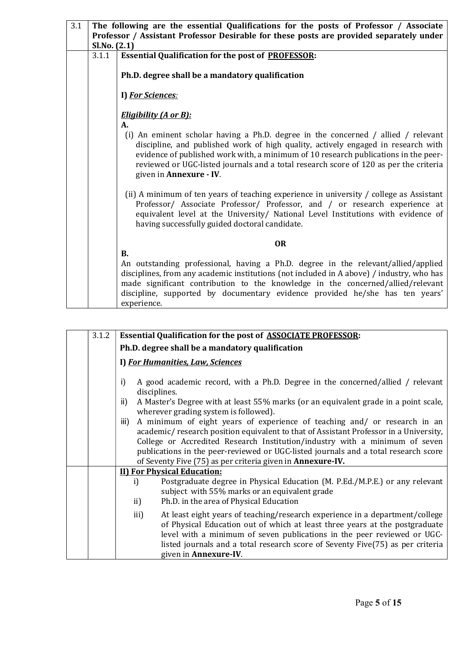| 3.1 | The following are the essential Qualifications for the posts of Professor / Associate<br>Professor / Assistant Professor Desirable for these posts are provided separately under |                                                                                                                                                                                                                                                                                                                                                                                         |  |  |  |  |
|-----|----------------------------------------------------------------------------------------------------------------------------------------------------------------------------------|-----------------------------------------------------------------------------------------------------------------------------------------------------------------------------------------------------------------------------------------------------------------------------------------------------------------------------------------------------------------------------------------|--|--|--|--|
|     | Sl.No. (2.1)                                                                                                                                                                     |                                                                                                                                                                                                                                                                                                                                                                                         |  |  |  |  |
|     | 3.1.1                                                                                                                                                                            | <b>Essential Qualification for the post of PROFESSOR:</b>                                                                                                                                                                                                                                                                                                                               |  |  |  |  |
|     |                                                                                                                                                                                  | Ph.D. degree shall be a mandatory qualification                                                                                                                                                                                                                                                                                                                                         |  |  |  |  |
|     |                                                                                                                                                                                  | I) For Sciences:                                                                                                                                                                                                                                                                                                                                                                        |  |  |  |  |
|     |                                                                                                                                                                                  | <u>Eligibility (A or B):</u>                                                                                                                                                                                                                                                                                                                                                            |  |  |  |  |
|     |                                                                                                                                                                                  | A.<br>(i) An eminent scholar having a Ph.D. degree in the concerned / allied / relevant<br>discipline, and published work of high quality, actively engaged in research with<br>evidence of published work with, a minimum of 10 research publications in the peer-<br>reviewed or UGC-listed journals and a total research score of 120 as per the criteria<br>given in Annexure - IV. |  |  |  |  |
|     |                                                                                                                                                                                  | (ii) A minimum of ten years of teaching experience in university / college as Assistant<br>Professor/ Associate Professor/ Professor, and / or research experience at<br>equivalent level at the University/ National Level Institutions with evidence of<br>having successfully guided doctoral candidate.                                                                             |  |  |  |  |
|     | <b>OR</b>                                                                                                                                                                        |                                                                                                                                                                                                                                                                                                                                                                                         |  |  |  |  |
|     |                                                                                                                                                                                  | <b>B.</b>                                                                                                                                                                                                                                                                                                                                                                               |  |  |  |  |
|     |                                                                                                                                                                                  | An outstanding professional, having a Ph.D. degree in the relevant/allied/applied<br>disciplines, from any academic institutions (not included in A above) / industry, who has<br>made significant contribution to the knowledge in the concerned/allied/relevant<br>discipline, supported by documentary evidence provided he/she has ten years'                                       |  |  |  |  |
|     |                                                                                                                                                                                  | experience.                                                                                                                                                                                                                                                                                                                                                                             |  |  |  |  |

|                                                                                                                                                                                                                                                                                                                                                                                                                        | 3.1.2                                                                                                                               | <b>Essential Qualification for the post of ASSOCIATE PROFESSOR:</b>                                                                                                                                                                                                                                                                                       |  |  |  |  |
|------------------------------------------------------------------------------------------------------------------------------------------------------------------------------------------------------------------------------------------------------------------------------------------------------------------------------------------------------------------------------------------------------------------------|-------------------------------------------------------------------------------------------------------------------------------------|-----------------------------------------------------------------------------------------------------------------------------------------------------------------------------------------------------------------------------------------------------------------------------------------------------------------------------------------------------------|--|--|--|--|
|                                                                                                                                                                                                                                                                                                                                                                                                                        |                                                                                                                                     | Ph.D. degree shall be a mandatory qualification                                                                                                                                                                                                                                                                                                           |  |  |  |  |
|                                                                                                                                                                                                                                                                                                                                                                                                                        |                                                                                                                                     | I) For Humanities, Law, Sciences                                                                                                                                                                                                                                                                                                                          |  |  |  |  |
|                                                                                                                                                                                                                                                                                                                                                                                                                        | A good academic record, with a Ph.D. Degree in the concerned/allied / relevant<br>i)<br>disciplines.                                |                                                                                                                                                                                                                                                                                                                                                           |  |  |  |  |
|                                                                                                                                                                                                                                                                                                                                                                                                                        | A Master's Degree with at least 55% marks (or an equivalent grade in a point scale,<br>ii)<br>wherever grading system is followed). |                                                                                                                                                                                                                                                                                                                                                           |  |  |  |  |
| A minimum of eight years of experience of teaching and/ or research in an<br>iii)<br>academic/research position equivalent to that of Assistant Professor in a University,<br>College or Accredited Research Institution/industry with a minimum of seven<br>publications in the peer-reviewed or UGC-listed journals and a total research score<br>of Seventy Five (75) as per criteria given in <b>Annexure-IV</b> . |                                                                                                                                     |                                                                                                                                                                                                                                                                                                                                                           |  |  |  |  |
|                                                                                                                                                                                                                                                                                                                                                                                                                        |                                                                                                                                     | <b>II) For Physical Education:</b>                                                                                                                                                                                                                                                                                                                        |  |  |  |  |
|                                                                                                                                                                                                                                                                                                                                                                                                                        |                                                                                                                                     | Postgraduate degree in Physical Education (M. P.Ed./M.P.E.) or any relevant<br>i)<br>subject with 55% marks or an equivalent grade<br>Ph.D. in the area of Physical Education<br>ii)                                                                                                                                                                      |  |  |  |  |
|                                                                                                                                                                                                                                                                                                                                                                                                                        |                                                                                                                                     | At least eight years of teaching/research experience in a department/college<br>iii)<br>of Physical Education out of which at least three years at the postgraduate<br>level with a minimum of seven publications in the peer reviewed or UGC-<br>listed journals and a total research score of Seventy Five(75) as per criteria<br>given in Annexure-IV. |  |  |  |  |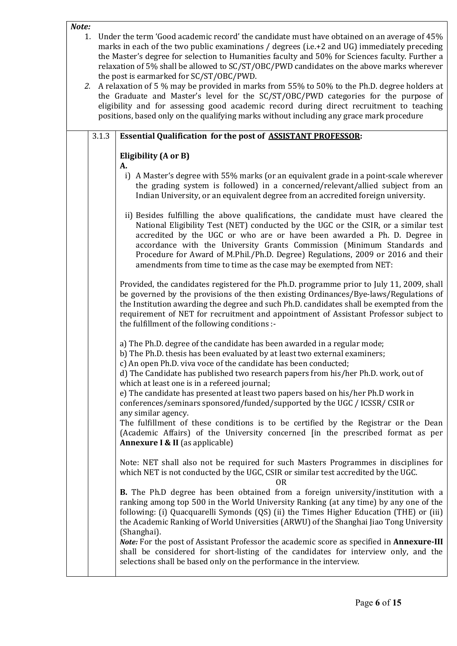#### Note:

- 1. Under the term 'Good academic record' the candidate must have obtained on an average of 45% marks in each of the two public examinations / degrees (i.e.+2 and UG) immediately preceding the Master's degree for selection to Humanities faculty and 50% for Sciences faculty. Further a relaxation of 5% shall be allowed to SC/ST/OBC/PWD candidates on the above marks wherever the post is earmarked for SC/ST/OBC/PWD.
- 2. A relaxation of 5 % may be provided in marks from 55% to 50% to the Ph.D. degree holders at the Graduate and Master's level for the SC/ST/OBC/PWD categories for the purpose of eligibility and for assessing good academic record during direct recruitment to teaching positions, based only on the qualifying marks without including any grace mark procedure

| 3.1.3 | <b>Essential Qualification for the post of ASSISTANT PROFESSOR:</b>                                                                                                                                                                                                                                                                                                                                                                                                                                                                                                                                                                                                                                                                                                               |
|-------|-----------------------------------------------------------------------------------------------------------------------------------------------------------------------------------------------------------------------------------------------------------------------------------------------------------------------------------------------------------------------------------------------------------------------------------------------------------------------------------------------------------------------------------------------------------------------------------------------------------------------------------------------------------------------------------------------------------------------------------------------------------------------------------|
|       | Eligibility (A or B)<br>А.                                                                                                                                                                                                                                                                                                                                                                                                                                                                                                                                                                                                                                                                                                                                                        |
|       | i) A Master's degree with 55% marks (or an equivalent grade in a point-scale wherever<br>the grading system is followed) in a concerned/relevant/allied subject from an<br>Indian University, or an equivalent degree from an accredited foreign university.                                                                                                                                                                                                                                                                                                                                                                                                                                                                                                                      |
|       | ii) Besides fulfilling the above qualifications, the candidate must have cleared the<br>National Eligibility Test (NET) conducted by the UGC or the CSIR, or a similar test<br>accredited by the UGC or who are or have been awarded a Ph. D. Degree in<br>accordance with the University Grants Commission (Minimum Standards and<br>Procedure for Award of M.Phil./Ph.D. Degree) Regulations, 2009 or 2016 and their<br>amendments from time to time as the case may be exempted from NET:                                                                                                                                                                                                                                                                                      |
|       | Provided, the candidates registered for the Ph.D. programme prior to July 11, 2009, shall<br>be governed by the provisions of the then existing Ordinances/Bye-laws/Regulations of<br>the Institution awarding the degree and such Ph.D. candidates shall be exempted from the<br>requirement of NET for recruitment and appointment of Assistant Professor subject to<br>the fulfillment of the following conditions :-                                                                                                                                                                                                                                                                                                                                                          |
|       | a) The Ph.D. degree of the candidate has been awarded in a regular mode;<br>b) The Ph.D. thesis has been evaluated by at least two external examiners;<br>c) An open Ph.D. viva voce of the candidate has been conducted;<br>d) The Candidate has published two research papers from his/her Ph.D. work, out of<br>which at least one is in a refereed journal;<br>e) The candidate has presented at least two papers based on his/her Ph.D work in<br>conferences/seminars sponsored/funded/supported by the UGC / ICSSR/ CSIR or<br>any similar agency.<br>The fulfillment of these conditions is to be certified by the Registrar or the Dean<br>(Academic Affairs) of the University concerned [in the prescribed format as per<br><b>Annexure I &amp; II</b> (as applicable) |
|       | Note: NET shall also not be required for such Masters Programmes in disciplines for<br>which NET is not conducted by the UGC, CSIR or similar test accredited by the UGC.<br><b>OR</b>                                                                                                                                                                                                                                                                                                                                                                                                                                                                                                                                                                                            |
|       | <b>B.</b> The Ph.D degree has been obtained from a foreign university/institution with a<br>ranking among top 500 in the World University Ranking (at any time) by any one of the<br>following: (i) Quacquarelli Symonds (QS) (ii) the Times Higher Education (THE) or (iii)<br>the Academic Ranking of World Universities (ARWU) of the Shanghai Jiao Tong University<br>(Shanghai).                                                                                                                                                                                                                                                                                                                                                                                             |
|       | Note: For the post of Assistant Professor the academic score as specified in Annexure-III<br>shall be considered for short-listing of the candidates for interview only, and the<br>selections shall be based only on the performance in the interview.                                                                                                                                                                                                                                                                                                                                                                                                                                                                                                                           |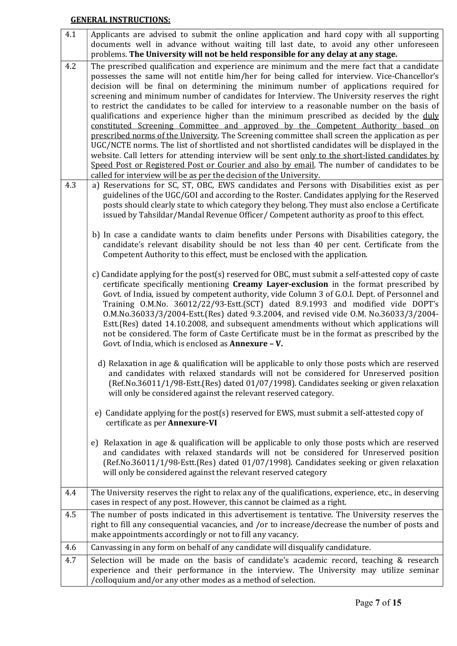## GENERAL INSTRUCTIONS:

| 4.1 | Applicants are advised to submit the online application and hard copy with all supporting                                                                                                   |
|-----|---------------------------------------------------------------------------------------------------------------------------------------------------------------------------------------------|
|     | documents well in advance without waiting till last date, to avoid any other unforeseen                                                                                                     |
|     | problems. The University will not be held responsible for any delay at any stage.                                                                                                           |
| 4.2 | The prescribed qualification and experience are minimum and the mere fact that a candidate<br>possesses the same will not entitle him/her for being called for interview. Vice-Chancellor's |
|     | decision will be final on determining the minimum number of applications required for                                                                                                       |
|     | screening and minimum number of candidates for Interview. The University reserves the right                                                                                                 |
|     | to restrict the candidates to be called for interview to a reasonable number on the basis of                                                                                                |
|     | qualifications and experience higher than the minimum prescribed as decided by the duly                                                                                                     |
|     | constituted Screening Committee and approved by the Competent Authority based on<br>prescribed norms of the University. The Screening committee shall screen the application as per         |
|     | UGC/NCTE norms. The list of shortlisted and not shortlisted candidates will be displayed in the                                                                                             |
|     | website. Call letters for attending interview will be sent only to the short-listed candidates by                                                                                           |
|     | Speed Post or Registered Post or Courier and also by email. The number of candidates to be                                                                                                  |
|     | called for interview will be as per the decision of the University.                                                                                                                         |
| 4.3 | a) Reservations for SC, ST, OBC, EWS candidates and Persons with Disabilities exist as per                                                                                                  |
|     | guidelines of the UGC/GOI and according to the Roster. Candidates applying for the Reserved                                                                                                 |
|     | posts should clearly state to which category they belong. They must also enclose a Certificate                                                                                              |
|     | issued by Tahsildar/Mandal Revenue Officer/Competent authority as proof to this effect.                                                                                                     |
|     | b) In case a candidate wants to claim benefits under Persons with Disabilities category, the                                                                                                |
|     | candidate's relevant disability should be not less than 40 per cent. Certificate from the                                                                                                   |
|     | Competent Authority to this effect, must be enclosed with the application.                                                                                                                  |
|     |                                                                                                                                                                                             |
|     | c) Candidate applying for the post(s) reserved for OBC, must submit a self-attested copy of caste                                                                                           |
|     | certificate specifically mentioning Creamy Layer-exclusion in the format prescribed by                                                                                                      |
|     | Govt. of India, issued by competent authority, vide Column 3 of G.O.I. Dept. of Personnel and<br>Training O.M.No. 36012/22/93-Estt.(SCT) dated 8.9.1993 and modified vide DOPT's            |
|     | 0.M.No.36033/3/2004-Estt.(Res) dated 9.3.2004, and revised vide 0.M. No.36033/3/2004-                                                                                                       |
|     | Estt. (Res) dated 14.10.2008, and subsequent amendments without which applications will                                                                                                     |
|     | not be considered. The form of Caste Certificate must be in the format as prescribed by the                                                                                                 |
|     | Govt. of India, which is enclosed as Annexure - V.                                                                                                                                          |
|     |                                                                                                                                                                                             |
|     | d) Relaxation in age & qualification will be applicable to only those posts which are reserved<br>and candidates with relaxed standards will not be considered for Unreserved position      |
|     | (Ref.No.36011/1/98-Estt.(Res) dated 01/07/1998). Candidates seeking or given relaxation                                                                                                     |
|     | will only be considered against the relevant reserved category.                                                                                                                             |
|     |                                                                                                                                                                                             |
|     | e) Candidate applying for the post(s) reserved for EWS, must submit a self-attested copy of                                                                                                 |
|     | certificate as per Annexure-VI                                                                                                                                                              |
|     |                                                                                                                                                                                             |
|     | e) Relaxation in age & qualification will be applicable to only those posts which are reserved<br>and candidates with relaxed standards will not be considered for Unreserved position      |
|     | (Ref.No.36011/1/98-Estt.(Res) dated 01/07/1998). Candidates seeking or given relaxation                                                                                                     |
|     | will only be considered against the relevant reserved category                                                                                                                              |
|     |                                                                                                                                                                                             |
| 4.4 | The University reserves the right to relax any of the qualifications, experience, etc., in deserving                                                                                        |
|     | cases in respect of any post. However, this cannot be claimed as a right.                                                                                                                   |
| 4.5 | The number of posts indicated in this advertisement is tentative. The University reserves the                                                                                               |
|     | right to fill any consequential vacancies, and /or to increase/decrease the number of posts and                                                                                             |
|     | make appointments accordingly or not to fill any vacancy.                                                                                                                                   |
| 4.6 | Canvassing in any form on behalf of any candidate will disqualify candidature.                                                                                                              |
| 4.7 | Selection will be made on the basis of candidate's academic record, teaching & research                                                                                                     |
|     | experience and their performance in the interview. The University may utilize seminar                                                                                                       |
|     | /colloquium and/or any other modes as a method of selection.                                                                                                                                |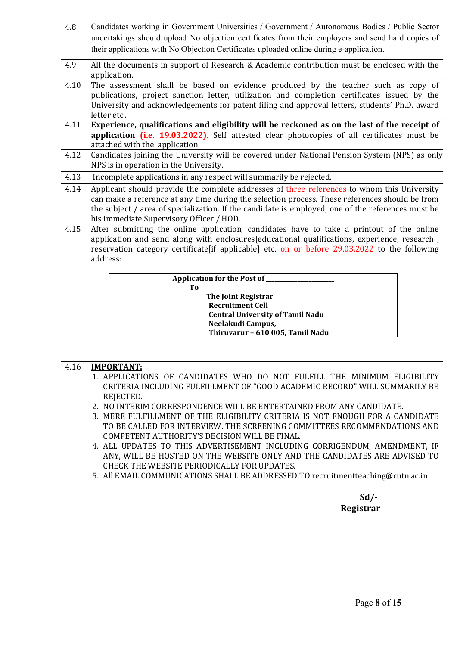| 4.8  | Candidates working in Government Universities / Government / Autonomous Bodies / Public Sector                                                |  |  |  |  |  |
|------|-----------------------------------------------------------------------------------------------------------------------------------------------|--|--|--|--|--|
|      | undertakings should upload No objection certificates from their employers and send hard copies of                                             |  |  |  |  |  |
|      | their applications with No Objection Certificates uploaded online during e-application.                                                       |  |  |  |  |  |
| 4.9  | All the documents in support of Research & Academic contribution must be enclosed with the                                                    |  |  |  |  |  |
|      | application.                                                                                                                                  |  |  |  |  |  |
| 4.10 | The assessment shall be based on evidence produced by the teacher such as copy of                                                             |  |  |  |  |  |
|      | publications, project sanction letter, utilization and completion certificates issued by the                                                  |  |  |  |  |  |
|      | University and acknowledgements for patent filing and approval letters, students' Ph.D. award<br>letter etc                                   |  |  |  |  |  |
| 4.11 | Experience, qualifications and eligibility will be reckoned as on the last of the receipt of                                                  |  |  |  |  |  |
|      | application (i.e. 19.03.2022). Self attested clear photocopies of all certificates must be                                                    |  |  |  |  |  |
|      | attached with the application.                                                                                                                |  |  |  |  |  |
| 4.12 | Candidates joining the University will be covered under National Pension System (NPS) as only                                                 |  |  |  |  |  |
|      | NPS is in operation in the University.                                                                                                        |  |  |  |  |  |
| 4.13 | Incomplete applications in any respect will summarily be rejected.                                                                            |  |  |  |  |  |
| 4.14 | Applicant should provide the complete addresses of three references to whom this University                                                   |  |  |  |  |  |
|      | can make a reference at any time during the selection process. These references should be from                                                |  |  |  |  |  |
|      | the subject / area of specialization. If the candidate is employed, one of the references must be<br>his immediate Supervisory Officer / HOD. |  |  |  |  |  |
| 4.15 | After submitting the online application, candidates have to take a printout of the online                                                     |  |  |  |  |  |
|      | application and send along with enclosures [educational qualifications, experience, research,                                                 |  |  |  |  |  |
|      | reservation category certificate if applicable] etc. on or before 29.03.2022 to the following                                                 |  |  |  |  |  |
|      | address:                                                                                                                                      |  |  |  |  |  |
|      |                                                                                                                                               |  |  |  |  |  |
|      | Application for the Post of _________<br>To                                                                                                   |  |  |  |  |  |
|      | <b>The Joint Registrar</b>                                                                                                                    |  |  |  |  |  |
|      | <b>Recruitment Cell</b>                                                                                                                       |  |  |  |  |  |
|      | <b>Central University of Tamil Nadu</b>                                                                                                       |  |  |  |  |  |
|      | Neelakudi Campus,<br>Thiruvarur - 610 005, Tamil Nadu                                                                                         |  |  |  |  |  |
|      |                                                                                                                                               |  |  |  |  |  |
|      |                                                                                                                                               |  |  |  |  |  |
| 4.16 | <b>IMPORTANT:</b>                                                                                                                             |  |  |  |  |  |
|      | 1. APPLICATIONS OF CANDIDATES WHO DO NOT FULFILL THE MINIMUM ELIGIBILITY                                                                      |  |  |  |  |  |
|      | CRITERIA INCLUDING FULFILLMENT OF "GOOD ACADEMIC RECORD" WILL SUMMARILY BE                                                                    |  |  |  |  |  |
|      | REJECTED.                                                                                                                                     |  |  |  |  |  |
|      | 2. NO INTERIM CORRESPONDENCE WILL BE ENTERTAINED FROM ANY CANDIDATE.                                                                          |  |  |  |  |  |
|      | 3. MERE FULFILLMENT OF THE ELIGIBILITY CRITERIA IS NOT ENOUGH FOR A CANDIDATE                                                                 |  |  |  |  |  |
|      | TO BE CALLED FOR INTERVIEW. THE SCREENING COMMITTEES RECOMMENDATIONS AND<br>COMPETENT AUTHORITY'S DECISION WILL BE FINAL.                     |  |  |  |  |  |
|      | 4. ALL UPDATES TO THIS ADVERTISEMENT INCLUDING CORRIGENDUM, AMENDMENT, IF                                                                     |  |  |  |  |  |
|      | ANY, WILL BE HOSTED ON THE WEBSITE ONLY AND THE CANDIDATES ARE ADVISED TO                                                                     |  |  |  |  |  |
|      | CHECK THE WEBSITE PERIODICALLY FOR UPDATES.                                                                                                   |  |  |  |  |  |
|      | 5. All EMAIL COMMUNICATIONS SHALL BE ADDRESSED TO recruitmentteaching@cutn.ac.in                                                              |  |  |  |  |  |

 Sd/- Registrar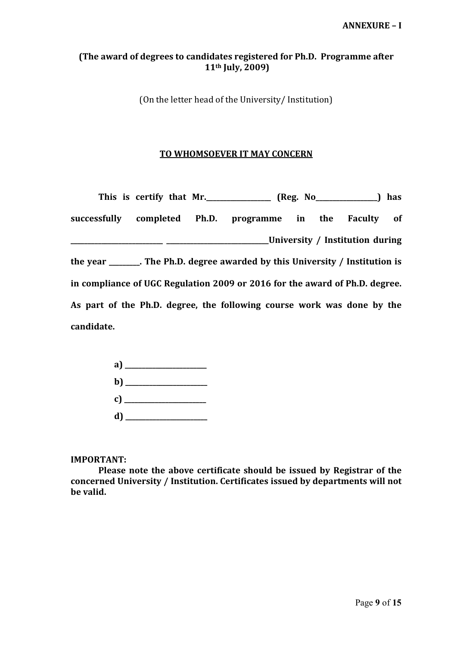# (The award of degrees to candidates registered for Ph.D. Programme after 11th July, 2009)

(On the letter head of the University/ Institution)

## TO WHOMSOEVER IT MAY CONCERN

|            |  | This is certify that Mr. ________________ (Reg. No________________) has           |  |                                 |  |
|------------|--|-----------------------------------------------------------------------------------|--|---------------------------------|--|
|            |  | successfully completed Ph.D. programme in the Faculty of                          |  |                                 |  |
|            |  |                                                                                   |  | University / Institution during |  |
|            |  | the year $\_\_\_\_\$ The Ph.D. degree awarded by this University / Institution is |  |                                 |  |
|            |  | in compliance of UGC Regulation 2009 or 2016 for the award of Ph.D. degree.       |  |                                 |  |
|            |  | As part of the Ph.D. degree, the following course work was done by the            |  |                                 |  |
| candidate. |  |                                                                                   |  |                                 |  |

| $\mathbf{b}$ ) |  |
|----------------|--|
|                |  |
|                |  |

IMPORTANT:

Please note the above certificate should be issued by Registrar of the concerned University / Institution. Certificates issued by departments will not be valid.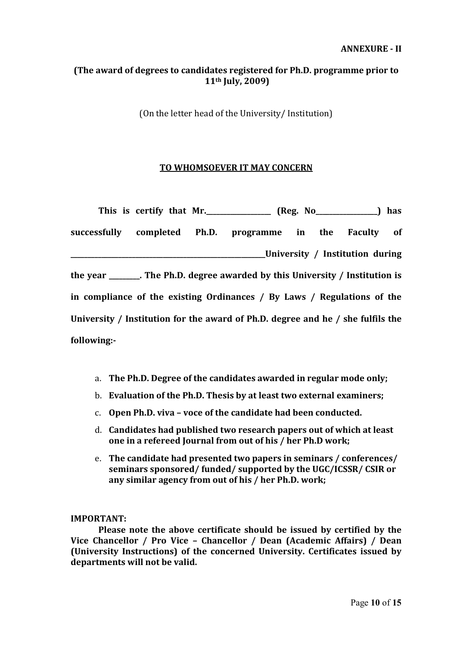# (The award of degrees to candidates registered for Ph.D. programme prior to 11th July, 2009)

(On the letter head of the University/ Institution)

# TO WHOMSOEVER IT MAY CONCERN

|             |  | This is certify that Mr. ________________ (Reg. No_______________) has          |  |                                     |  |
|-------------|--|---------------------------------------------------------------------------------|--|-------------------------------------|--|
|             |  | successfully completed Ph.D. programme in the Faculty of                        |  |                                     |  |
|             |  |                                                                                 |  | ____University / Institution during |  |
|             |  | the year _______. The Ph.D. degree awarded by this University / Institution is  |  |                                     |  |
|             |  | in compliance of the existing Ordinances / By Laws / Regulations of the         |  |                                     |  |
|             |  | University / Institution for the award of Ph.D. degree and he / she fulfils the |  |                                     |  |
| following:- |  |                                                                                 |  |                                     |  |

- a. The Ph.D. Degree of the candidates awarded in regular mode only;
- b. Evaluation of the Ph.D. Thesis by at least two external examiners;
- c. Open Ph.D. viva voce of the candidate had been conducted.
- d. Candidates had published two research papers out of which at least one in a refereed Journal from out of his / her Ph.D work;
- e. The candidate had presented two papers in seminars / conferences/ seminars sponsored/ funded/ supported by the UGC/ICSSR/ CSIR or any similar agency from out of his / her Ph.D. work;

## IMPORTANT:

Please note the above certificate should be issued by certified by the Vice Chancellor / Pro Vice – Chancellor / Dean (Academic Affairs) / Dean (University Instructions) of the concerned University. Certificates issued by departments will not be valid.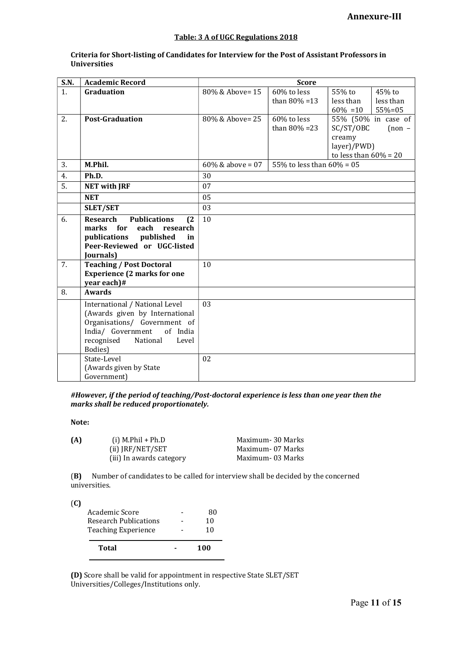#### Table: 3 A of UGC Regulations 2018

| <b>S.N.</b> | <b>Academic Record</b>                        |                     | <b>Score</b>                 |                          |                     |
|-------------|-----------------------------------------------|---------------------|------------------------------|--------------------------|---------------------|
| 1.          | Graduation                                    | 80% & Above= 15     | 60% to less                  | 55% to                   | 45% to              |
|             |                                               |                     | than $80\% = 13$             | less than                | less than           |
|             |                                               |                     |                              | $60\% = 10$              | $55% = 05$          |
| 2.          | <b>Post-Graduation</b>                        | 80% & Above= 25     | 60% to less                  |                          | 55% (50% in case of |
|             |                                               |                     | than $80\% = 23$             | SC/ST/OBC                | $[non -]$           |
|             |                                               |                     |                              | creamy                   |                     |
|             |                                               |                     |                              | layer)/PWD)              |                     |
|             |                                               |                     |                              | to less than $60\% = 20$ |                     |
| 3.          | M.Phil.                                       | $60\%$ & above = 07 | 55% to less than $60\% = 05$ |                          |                     |
| 4.          | Ph.D.                                         | 30                  |                              |                          |                     |
| 5.          | <b>NET with JRF</b>                           | 07                  |                              |                          |                     |
|             | <b>NET</b>                                    | 05                  |                              |                          |                     |
|             | <b>SLET/SET</b>                               | 03                  |                              |                          |                     |
| 6.          | <b>Research</b><br><b>Publications</b><br>(2) | 10                  |                              |                          |                     |
|             | for<br>each<br>marks<br>research              |                     |                              |                          |                     |
|             | publications<br>published<br>in               |                     |                              |                          |                     |
|             | Peer-Reviewed or UGC-listed                   |                     |                              |                          |                     |
|             | Journals)                                     |                     |                              |                          |                     |
| 7.          | <b>Teaching / Post Doctoral</b>               | 10                  |                              |                          |                     |
|             | <b>Experience (2 marks for one</b>            |                     |                              |                          |                     |
|             | year each)#                                   |                     |                              |                          |                     |
| 8.          | <b>Awards</b>                                 |                     |                              |                          |                     |
|             | International / National Level                | 03                  |                              |                          |                     |
|             | (Awards given by International                |                     |                              |                          |                     |
|             | Organisations/ Government of                  |                     |                              |                          |                     |
|             | India/ Government<br>of India                 |                     |                              |                          |                     |
|             | recognised<br>National<br>Level               |                     |                              |                          |                     |
|             | Bodies)                                       |                     |                              |                          |                     |
|             | State-Level                                   | 02                  |                              |                          |                     |
|             | (Awards given by State                        |                     |                              |                          |                     |
|             | Government)                                   |                     |                              |                          |                     |

#### Criteria for Short-listing of Candidates for Interview for the Post of Assistant Professors in Universities

#However, if the period of teaching/Post-doctoral experience is less than one year then the marks shall be reduced proportionately.

#### Note:

| (A) | $(i)$ M.Phil + Ph.D      | Maximum- 30 Marks |
|-----|--------------------------|-------------------|
|     | $(ii)$ JRF/NET/SET       | Maximum- 07 Marks |
|     | (iii) In awards category | Maximum- 03 Marks |

(B) Number of candidates to be called for interview shall be decided by the concerned universities.

(C)

|           | Total                        | 100 |
|-----------|------------------------------|-----|
|           | <b>Teaching Experience</b>   | 10  |
|           | <b>Research Publications</b> | 10  |
| $\cdot$ . | Academic Score               | 80  |

(D) Score shall be valid for appointment in respective State SLET/SET Universities/Colleges/Institutions only.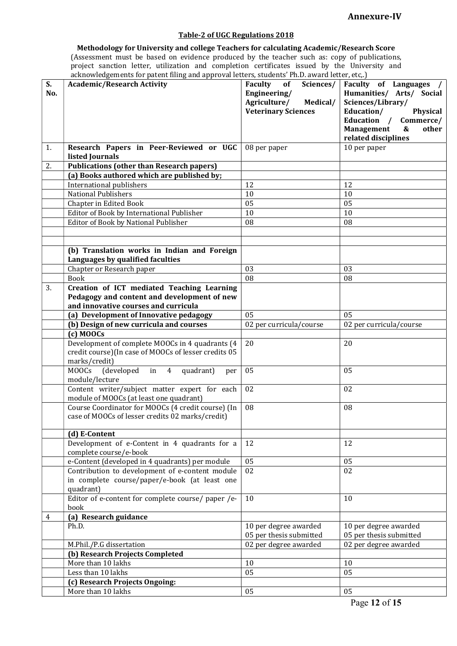## Annexure-IV

## Table-2 of UGC Regulations 2018

Methodology for University and college Teachers for calculating Academic/Research Score (Assessment must be based on evidence produced by the teacher such as: copy of publications, project sanction letter, utilization and completion certificates issued by the University and acknowledgements for patent filing and approval letters, students' Ph.D. award letter, etc,.)

| S.  | <b>Academic/Research Activity</b>                                               | Sciences/<br>Faculty<br>of | Faculty of Languages /                                                 |
|-----|---------------------------------------------------------------------------------|----------------------------|------------------------------------------------------------------------|
| No. |                                                                                 | Engineering/               | Humanities/ Arts/ Social                                               |
|     |                                                                                 | Agriculture/<br>Medical/   | Sciences/Library/                                                      |
|     |                                                                                 | <b>Veterinary Sciences</b> | Education/<br>Physical                                                 |
|     |                                                                                 |                            | Education /<br>Commerce/                                               |
|     |                                                                                 |                            | <b>Management</b><br>$\boldsymbol{\&}$<br>other<br>related disciplines |
| 1.  | Research Papers in Peer-Reviewed or UGC                                         | 08 per paper               | 10 per paper                                                           |
|     | listed Journals                                                                 |                            |                                                                        |
| 2.  | <b>Publications (other than Research papers)</b>                                |                            |                                                                        |
|     | (a) Books authored which are published by;                                      |                            |                                                                        |
|     | International publishers                                                        | 12                         | 12                                                                     |
|     | <b>National Publishers</b>                                                      | 10                         | 10                                                                     |
|     | Chapter in Edited Book                                                          | 05                         | 05                                                                     |
|     | Editor of Book by International Publisher                                       | 10                         | 10                                                                     |
|     | Editor of Book by National Publisher                                            | 08                         | 08                                                                     |
|     |                                                                                 |                            |                                                                        |
|     |                                                                                 |                            |                                                                        |
|     | (b) Translation works in Indian and Foreign<br>Languages by qualified faculties |                            |                                                                        |
|     | Chapter or Research paper                                                       | 03                         | 03                                                                     |
|     | <b>Book</b>                                                                     | 08                         | 08                                                                     |
| 3.  | Creation of ICT mediated Teaching Learning                                      |                            |                                                                        |
|     | Pedagogy and content and development of new                                     |                            |                                                                        |
|     | and innovative courses and curricula                                            |                            |                                                                        |
|     | (a) Development of Innovative pedagogy                                          | 05                         | 05                                                                     |
|     | (b) Design of new curricula and courses                                         | 02 per curricula/course    | 02 per curricula/course                                                |
|     | $(c)$ MOOCs                                                                     |                            |                                                                        |
|     | Development of complete MOOCs in 4 quadrants (4                                 | 20                         | 20                                                                     |
|     | credit course)(In case of MOOCs of lesser credits 05                            |                            |                                                                        |
|     | marks/credit)                                                                   |                            |                                                                        |
|     | <b>MOOCs</b><br>(developed<br>in<br>$\overline{4}$<br>quadrant)<br>per          | 05                         | 05                                                                     |
|     | module/lecture                                                                  |                            |                                                                        |
|     | Content writer/subject matter expert for each                                   | 02                         | 02                                                                     |
|     | module of MOOCs (at least one quadrant)                                         |                            |                                                                        |
|     | Course Coordinator for MOOCs (4 credit course) (In                              | 08                         | 08                                                                     |
|     | case of MOOCs of lesser credits 02 marks/credit)                                |                            |                                                                        |
|     | (d) E-Content                                                                   |                            |                                                                        |
|     | Development of e-Content in 4 quadrants for a                                   | 12                         | 12                                                                     |
|     | complete course/e-book                                                          |                            |                                                                        |
|     | e-Content (developed in 4 quadrants) per module                                 | 05                         | 05                                                                     |
|     | Contribution to development of e-content module                                 | 02                         | 02                                                                     |
|     | in complete course/paper/e-book (at least one                                   |                            |                                                                        |
|     | quadrant)                                                                       |                            |                                                                        |
|     | Editor of e-content for complete course/ paper /e-                              | 10                         | 10                                                                     |
|     | book                                                                            |                            |                                                                        |
| 4   | (a) Research guidance                                                           |                            |                                                                        |
|     | Ph.D.                                                                           | 10 per degree awarded      | 10 per degree awarded                                                  |
|     |                                                                                 | 05 per thesis submitted    | 05 per thesis submitted                                                |
|     | M.Phil./P.G dissertation                                                        | 02 per degree awarded      | 02 per degree awarded                                                  |
|     | (b) Research Projects Completed<br>More than 10 lakhs                           | 10                         | 10                                                                     |
|     | Less than 10 lakhs                                                              | 05                         | 05                                                                     |
|     |                                                                                 |                            |                                                                        |
|     | (c) Research Projects Ongoing:<br>More than 10 lakhs                            | 05                         | 05                                                                     |
|     |                                                                                 |                            |                                                                        |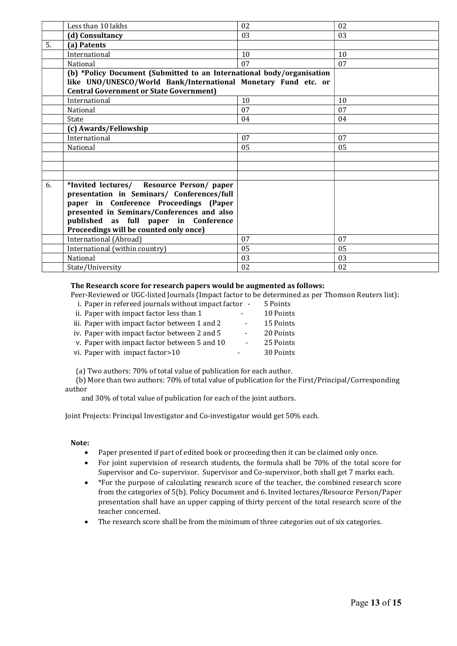|    | Less than 10 lakhs                                                    | 02 | 02 |
|----|-----------------------------------------------------------------------|----|----|
|    | (d) Consultancy                                                       | 03 | 03 |
| 5. | (a) Patents                                                           |    |    |
|    | International                                                         | 10 | 10 |
|    | National                                                              | 07 | 07 |
|    | (b) *Policy Document (Submitted to an International body/organisation |    |    |
|    | like UNO/UNESCO/World Bank/International Monetary Fund etc. or        |    |    |
|    | <b>Central Government or State Government)</b>                        |    |    |
|    | International                                                         | 10 | 10 |
|    | National                                                              | 07 | 07 |
|    | State                                                                 | 04 | 04 |
|    | (c) Awards/Fellowship                                                 |    |    |
|    | International                                                         | 07 | 07 |
|    | National                                                              | 05 | 05 |
|    |                                                                       |    |    |
|    |                                                                       |    |    |
|    |                                                                       |    |    |
| 6. | *Invited lectures/ Resource Person/ paper                             |    |    |
|    | presentation in Seminars/ Conferences/full                            |    |    |
|    | paper in Conference Proceedings (Paper                                |    |    |
|    | presented in Seminars/Conferences and also                            |    |    |
|    | published as full paper in Conference                                 |    |    |
|    | Proceedings will be counted only once)                                |    |    |
|    | International (Abroad)                                                | 07 | 07 |
|    | International (within country)                                        | 05 | 05 |
|    | National                                                              | 03 | 03 |
|    | State/University                                                      | 02 | 02 |

#### The Research score for research papers would be augmented as follows:

Peer-Reviewed or UGC-listed Journals (Impact factor to be determined as per Thomson Reuters list):

| i. Paper in refereed journals without impact factor - | 5 Points  |
|-------------------------------------------------------|-----------|
| ii. Paper with impact factor less than 1              | 10 Points |
| iii. Paper with impact factor between 1 and 2         | 15 Points |
| iv. Paper with impact factor between 2 and 5          | 20 Points |
| v. Paper with impact factor between 5 and 10          | 25 Points |
| vi. Paper with impact factor>10                       | 30 Points |
|                                                       |           |

(a) Two authors: 70% of total value of publication for each author.

(b) More than two authors: 70% of total value of publication for the First/Principal/Corresponding author

and 30% of total value of publication for each of the joint authors.

Joint Projects: Principal Investigator and Co-investigator would get 50% each.

#### Note:

- Paper presented if part of edited book or proceeding then it can be claimed only once.
- For joint supervision of research students, the formula shall be 70% of the total score for Supervisor and Co- supervisor. Supervisor and Co-supervisor, both shall get 7 marks each.
- \*For the purpose of calculating research score of the teacher, the combined research score from the categories of 5(b). Policy Document and 6. Invited lectures/Resource Person/Paper presentation shall have an upper capping of thirty percent of the total research score of the teacher concerned.
- The research score shall be from the minimum of three categories out of six categories.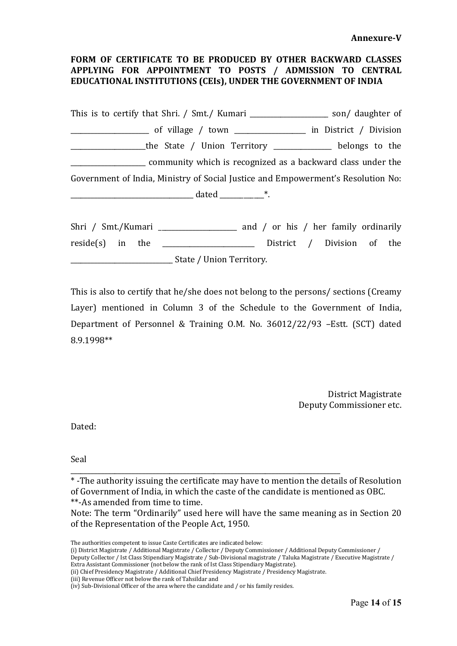# FORM OF CERTIFICATE TO BE PRODUCED BY OTHER BACKWARD CLASSES APPLYING FOR APPOINTMENT TO POSTS / ADMISSION TO CENTRAL EDUCATIONAL INSTITUTIONS (CEIs), UNDER THE GOVERNMENT OF INDIA

This is to certify that Shri. / Smt./ Kumari \_\_\_\_\_\_\_\_\_\_\_\_\_\_\_\_\_\_\_\_\_ son/ daughter of \_\_\_\_\_\_\_\_\_\_\_\_\_\_\_\_\_\_\_\_\_\_\_ of village / town \_\_\_\_\_\_\_\_\_\_\_\_\_\_\_\_\_\_\_\_\_ in District / Division \_\_\_\_\_\_\_\_\_\_\_\_\_the State / Union Territory \_\_\_\_\_\_\_\_\_\_\_\_\_\_\_\_ belongs to the \_\_\_\_\_\_\_\_\_\_\_\_\_\_\_\_\_\_\_\_\_\_ community which is recognized as a backward class under the Government of India, Ministry of Social Justice and Empowerment's Resolution No:  $data$  dated  $*$ .

Shri / Smt./Kumari \_\_\_\_\_\_\_\_\_\_\_\_\_\_\_\_\_\_\_\_\_ and / or his / her family ordinarily  $reside(s)$  in the \_\_\_\_\_\_\_\_\_\_\_\_\_\_\_\_\_\_\_\_\_\_\_\_\_\_ District / Division of the \_\_\_\_\_\_\_\_\_\_\_\_\_\_\_\_\_\_\_\_\_\_\_\_\_\_\_\_\_\_ State / Union Territory.

This is also to certify that he/she does not belong to the persons/ sections (Creamy Layer) mentioned in Column 3 of the Schedule to the Government of India, Department of Personnel & Training O.M. No. 36012/22/93 –Estt. (SCT) dated 8.9.1998\*\*

> District Magistrate Deputy Commissioner etc.

Dated:

Seal

\* -The authority issuing the certificate may have to mention the details of Resolution of Government of India, in which the caste of the candidate is mentioned as OBC. \*\*-As amended from time to time.

Note: The term "Ordinarily" used here will have the same meaning as in Section 20 of the Representation of the People Act, 1950.

The authorities competent to issue Caste Certificates are indicated below:

(i) District Magistrate / Additional Magistrate / Collector / Deputy Commissioner / Additional Deputy Commissioner / Deputy Collector / Ist Class Stipendiary Magistrate / Sub-Divisional magistrate / Taluka Magistrate / Executive Magistrate / Extra Assistant Commissioner (not below the rank of Ist Class Stipendiary Magistrate).

(ii) Chief Presidency Magistrate / Additional Chief Presidency Magistrate / Presidency Magistrate.

\_\_\_\_\_\_\_\_\_\_\_\_\_\_\_\_\_\_\_\_\_\_\_\_\_\_\_\_\_\_\_\_\_\_\_\_\_\_\_\_\_\_\_\_\_\_\_\_\_\_\_\_\_\_\_\_\_\_\_\_\_\_\_\_\_\_\_\_\_\_\_\_\_\_\_\_\_\_\_

(iii) Revenue Officer not below the rank of Tahsildar and

<sup>(</sup>iv) Sub-Divisional Officer of the area where the candidate and / or his family resides.